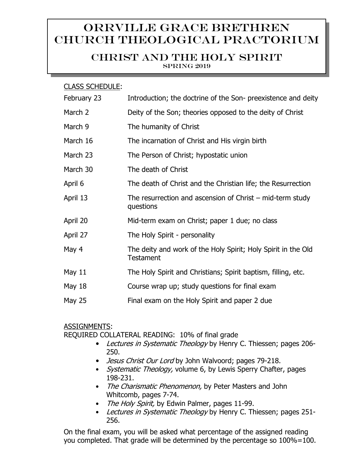# Orrville Grace Brethren Church Theological Practorium

# CHRIST AND THE HOLY SPIRIT

SPRING 2019

#### CLASS SCHEDULE:

| February 23   | Introduction; the doctrine of the Son- preexistence and deity                     |
|---------------|-----------------------------------------------------------------------------------|
| March 2       | Deity of the Son; theories opposed to the deity of Christ                         |
| March 9       | The humanity of Christ                                                            |
| March 16      | The incarnation of Christ and His virgin birth                                    |
| March 23      | The Person of Christ; hypostatic union                                            |
| March 30      | The death of Christ                                                               |
| April 6       | The death of Christ and the Christian life; the Resurrection                      |
| April 13      | The resurrection and ascension of Christ $-$ mid-term study<br>questions          |
| April 20      | Mid-term exam on Christ; paper 1 due; no class                                    |
| April 27      | The Holy Spirit - personality                                                     |
| May 4         | The deity and work of the Holy Spirit; Holy Spirit in the Old<br><b>Testament</b> |
| May $11$      | The Holy Spirit and Christians; Spirit baptism, filling, etc.                     |
| <b>May 18</b> | Course wrap up; study questions for final exam                                    |
| <b>May 25</b> | Final exam on the Holy Spirit and paper 2 due                                     |

## ASSIGNMENTS:

REQUIRED COLLATERAL READING: 10% of final grade

- Lectures in Systematic Theology by Henry C. Thiessen; pages 206-250.
- *Jesus Christ Our Lord* by John Walvoord; pages 79-218.
- Systematic Theology, volume 6, by Lewis Sperry Chafter, pages 198-231.
- The Charismatic Phenomenon, by Peter Masters and John Whitcomb, pages 7-74.
- The Holy Spirit, by Edwin Palmer, pages 11-99.
- Lectures in Systematic Theology by Henry C. Thiessen; pages 251-256.

On the final exam, you will be asked what percentage of the assigned reading you completed. That grade will be determined by the percentage so 100%=100.